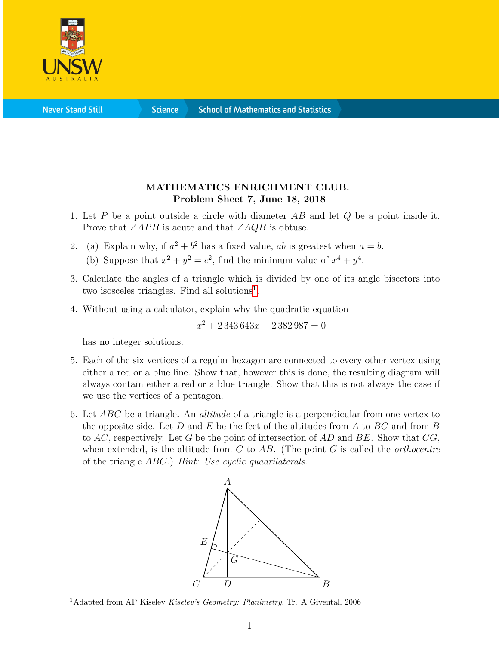

**Science** 

## MATHEMATICS ENRICHMENT CLUB. Problem Sheet 7, June 18, 2018

- 1. Let  $P$  be a point outside a circle with diameter  $AB$  and let  $Q$  be a point inside it. Prove that  $\angle APB$  is acute and that  $\angle AQB$  is obtuse.
- 2. (a) Explain why, if  $a^2 + b^2$  has a fixed value, ab is greatest when  $a = b$ .
	- (b) Suppose that  $x^2 + y^2 = c^2$ , find the minimum value of  $x^4 + y^4$ .
- 3. Calculate the angles of a triangle which is divided by one of its angle bisectors into two isosceles triangles. Find all solutions<sup>[1](#page-0-0)</sup>.
- 4. Without using a calculator, explain why the quadratic equation

 $x^2 + 2343643x - 2382987 = 0$ 

has no integer solutions.

- 5. Each of the six vertices of a regular hexagon are connected to every other vertex using either a red or a blue line. Show that, however this is done, the resulting diagram will always contain either a red or a blue triangle. Show that this is not always the case if we use the vertices of a pentagon.
- 6. Let  $ABC$  be a triangle. An *altitude* of a triangle is a perpendicular from one vertex to the opposite side. Let D and E be the feet of the altitudes from A to  $BC$  and from B to  $AC$ , respectively. Let G be the point of intersection of  $AD$  and  $BE$ . Show that  $CG$ , when extended, is the altitude from C to  $AB$ . (The point G is called the *orthocentre* of the triangle ABC.) Hint: Use cyclic quadrilaterals.



<span id="page-0-0"></span><sup>&</sup>lt;sup>1</sup>Adapted from AP Kiselev *Kiselev's Geometry: Planimetry*, Tr. A Givental, 2006